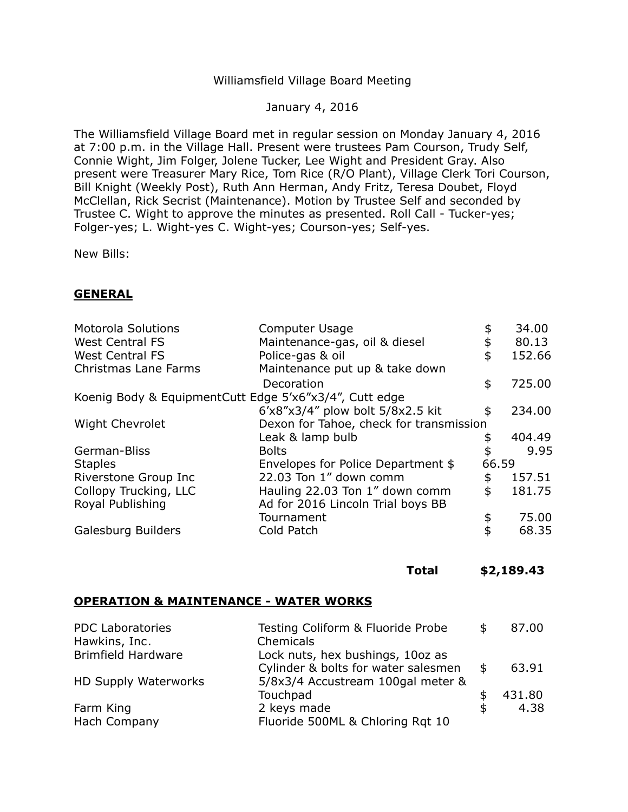# Williamsfield Village Board Meeting

# January 4, 2016

The Williamsfield Village Board met in regular session on Monday January 4, 2016 at 7:00 p.m. in the Village Hall. Present were trustees Pam Courson, Trudy Self, Connie Wight, Jim Folger, Jolene Tucker, Lee Wight and President Gray. Also present were Treasurer Mary Rice, Tom Rice (R/O Plant), Village Clerk Tori Courson, Bill Knight (Weekly Post), Ruth Ann Herman, Andy Fritz, Teresa Doubet, Floyd McClellan, Rick Secrist (Maintenance). Motion by Trustee Self and seconded by Trustee C. Wight to approve the minutes as presented. Roll Call - Tucker-yes; Folger-yes; L. Wight-yes C. Wight-yes; Courson-yes; Self-yes.

New Bills:

### **GENERAL**

| Computer Usage                                          |    | 34.00                                            |  |  |  |
|---------------------------------------------------------|----|--------------------------------------------------|--|--|--|
| Maintenance-gas, oil & diesel                           |    | 80.13                                            |  |  |  |
| Police-gas & oil                                        | \$ | 152.66                                           |  |  |  |
| Maintenance put up & take down                          |    |                                                  |  |  |  |
| Decoration                                              | \$ | 725.00                                           |  |  |  |
| Koenig Body & Equipment Cutt Edge 5'x6"x3/4", Cutt edge |    |                                                  |  |  |  |
| 6'x8"x3/4" plow bolt 5/8x2.5 kit                        | \$ | 234.00                                           |  |  |  |
|                                                         |    |                                                  |  |  |  |
| Leak & lamp bulb                                        |    | 404.49                                           |  |  |  |
| <b>Bolts</b>                                            |    | 9.95                                             |  |  |  |
| Envelopes for Police Department \$                      |    |                                                  |  |  |  |
| 22.03 Ton 1" down comm                                  | \$ | 157.51                                           |  |  |  |
| Hauling 22.03 Ton 1" down comm                          | \$ | 181.75                                           |  |  |  |
| Ad for 2016 Lincoln Trial boys BB                       |    |                                                  |  |  |  |
| Tournament                                              | \$ | 75.00                                            |  |  |  |
| Cold Patch                                              | \$ | 68.35                                            |  |  |  |
|                                                         |    | Dexon for Tahoe, check for transmission<br>66.59 |  |  |  |

# **Total [\\$2,189.43](https://2,189.43)**

#### **OPERATION & MAINTENANCE - WATER WORKS**

| <b>PDC Laboratories</b>   | Testing Coliform & Fluoride Probe                                       | 87.00       |
|---------------------------|-------------------------------------------------------------------------|-------------|
| Hawkins, Inc.             | Chemicals                                                               |             |
| <b>Brimfield Hardware</b> | Lock nuts, hex bushings, 10oz as<br>Cylinder & bolts for water salesmen | \$<br>63.91 |
| HD Supply Waterworks      | 5/8x3/4 Accustream 100gal meter &                                       |             |
|                           | Touchpad                                                                | 431.80      |
| Farm King                 | 2 keys made                                                             | 4.38        |
| Hach Company              | Fluoride 500ML & Chloring Rqt 10                                        |             |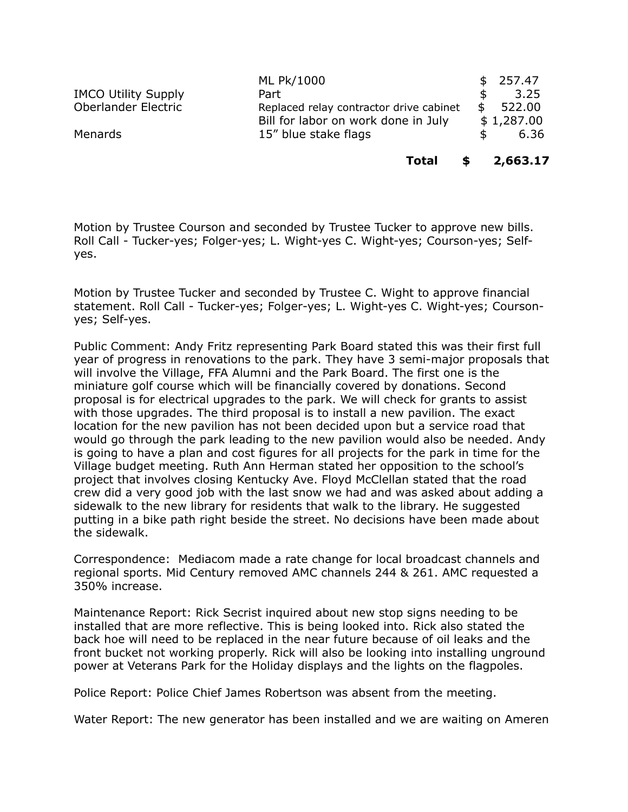|                            | ML Pk/1000                              | \$257.47     |
|----------------------------|-----------------------------------------|--------------|
| <b>IMCO Utility Supply</b> | Part                                    | 3.25         |
| Oberlander Electric        | Replaced relay contractor drive cabinet | \$<br>522.00 |
|                            | Bill for labor on work done in July     | \$1,287.00   |
| Menards                    | 15" blue stake flags                    | 6.36         |

 **Total \$ 2,663.17** 

 Motion by Trustee Courson and seconded by Trustee Tucker to approve new bills. Roll Call - Tucker-yes; Folger-yes; L. Wight-yes C. Wight-yes; Courson-yes; Selfyes.

 Motion by Trustee Tucker and seconded by Trustee C. Wight to approve financial statement. Roll Call - Tucker-yes; Folger-yes; L. Wight-yes C. Wight-yes; Courson-yes; Self-yes.

 Public Comment: Andy Fritz representing Park Board stated this was their first full year of progress in renovations to the park. They have 3 semi-major proposals that will involve the Village, FFA Alumni and the Park Board. The first one is the miniature golf course which will be financially covered by donations. Second proposal is for electrical upgrades to the park. We will check for grants to assist with those upgrades. The third proposal is to install a new pavilion. The exact location for the new pavilion has not been decided upon but a service road that would go through the park leading to the new pavilion would also be needed. Andy is going to have a plan and cost figures for all projects for the park in time for the Village budget meeting. Ruth Ann Herman stated her opposition to the school's project that involves closing Kentucky Ave. Floyd McClellan stated that the road crew did a very good job with the last snow we had and was asked about adding a sidewalk to the new library for residents that walk to the library. He suggested putting in a bike path right beside the street. No decisions have been made about the sidewalk.

 Correspondence: Mediacom made a rate change for local broadcast channels and regional sports. Mid Century removed AMC channels 244 & 261. AMC requested a 350% increase.

 Maintenance Report: Rick Secrist inquired about new stop signs needing to be installed that are more reflective. This is being looked into. Rick also stated the back hoe will need to be replaced in the near future because of oil leaks and the front bucket not working properly. Rick will also be looking into installing unground power at Veterans Park for the Holiday displays and the lights on the flagpoles.

Police Report: Police Chief James Robertson was absent from the meeting.

Water Report: The new generator has been installed and we are waiting on Ameren